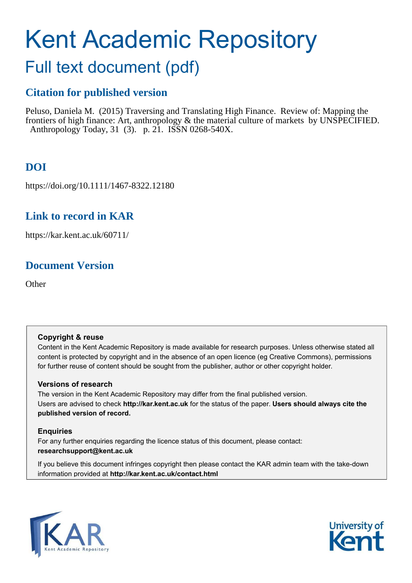# Kent Academic Repository

## Full text document (pdf)

## **Citation for published version**

Peluso, Daniela M. (2015) Traversing and Translating High Finance. Review of: Mapping the frontiers of high finance: Art, anthropology & the material culture of markets by UNSPECIFIED. Anthropology Today, 31 (3). p. 21. ISSN 0268-540X.

## **DOI**

https://doi.org/10.1111/1467-8322.12180

### **Link to record in KAR**

https://kar.kent.ac.uk/60711/

## **Document Version**

**Other** 

#### **Copyright & reuse**

Content in the Kent Academic Repository is made available for research purposes. Unless otherwise stated all content is protected by copyright and in the absence of an open licence (eg Creative Commons), permissions for further reuse of content should be sought from the publisher, author or other copyright holder.

#### **Versions of research**

The version in the Kent Academic Repository may differ from the final published version. Users are advised to check **http://kar.kent.ac.uk** for the status of the paper. **Users should always cite the published version of record.**

#### **Enquiries**

For any further enquiries regarding the licence status of this document, please contact: **researchsupport@kent.ac.uk**

If you believe this document infringes copyright then please contact the KAR admin team with the take-down information provided at **http://kar.kent.ac.uk/contact.html**